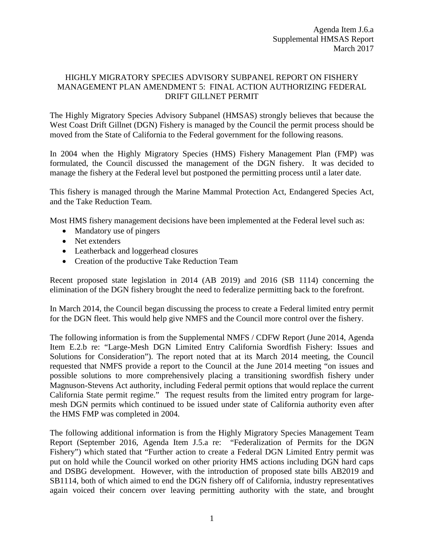## HIGHLY MIGRATORY SPECIES ADVISORY SUBPANEL REPORT ON FISHERY MANAGEMENT PLAN AMENDMENT 5: FINAL ACTION AUTHORIZING FEDERAL DRIFT GILLNET PERMIT

The Highly Migratory Species Advisory Subpanel (HMSAS) strongly believes that because the West Coast Drift Gillnet (DGN) Fishery is managed by the Council the permit process should be moved from the State of California to the Federal government for the following reasons.

In 2004 when the Highly Migratory Species (HMS) Fishery Management Plan (FMP) was formulated, the Council discussed the management of the DGN fishery. It was decided to manage the fishery at the Federal level but postponed the permitting process until a later date.

This fishery is managed through the Marine Mammal Protection Act, Endangered Species Act, and the Take Reduction Team.

Most HMS fishery management decisions have been implemented at the Federal level such as:

- Mandatory use of pingers
- Net extenders
- Leatherback and loggerhead closures
- Creation of the productive Take Reduction Team

Recent proposed state legislation in 2014 (AB 2019) and 2016 (SB 1114) concerning the elimination of the DGN fishery brought the need to federalize permitting back to the forefront.

In March 2014, the Council began discussing the process to create a Federal limited entry permit for the DGN fleet. This would help give NMFS and the Council more control over the fishery.

The following information is from the Supplemental NMFS / CDFW Report (June 2014, Agenda Item E.2.b re: "Large-Mesh DGN Limited Entry California Swordfish Fishery: Issues and Solutions for Consideration"). The report noted that at its March 2014 meeting, the Council requested that NMFS provide a report to the Council at the June 2014 meeting "on issues and possible solutions to more comprehensively placing a transitioning swordfish fishery under Magnuson-Stevens Act authority, including Federal permit options that would replace the current California State permit regime." The request results from the limited entry program for largemesh DGN permits which continued to be issued under state of California authority even after the HMS FMP was completed in 2004.

The following additional information is from the Highly Migratory Species Management Team Report (September 2016, Agenda Item J.5.a re: "Federalization of Permits for the DGN Fishery") which stated that "Further action to create a Federal DGN Limited Entry permit was put on hold while the Council worked on other priority HMS actions including DGN hard caps and DSBG development. However, with the introduction of proposed state bills AB2019 and SB1114, both of which aimed to end the DGN fishery off of California, industry representatives again voiced their concern over leaving permitting authority with the state, and brought